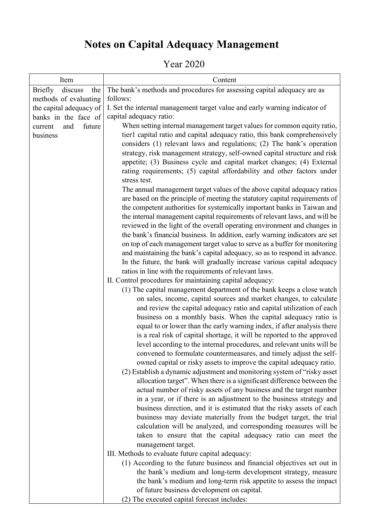## **Notes on Capital Adequacy Management**

## Year 2020

| Item                             | Content                                                                                                                                                 |  |  |  |  |
|----------------------------------|---------------------------------------------------------------------------------------------------------------------------------------------------------|--|--|--|--|
| discuss<br><b>Briefly</b><br>the | The bank's methods and procedures for assessing capital adequacy are as                                                                                 |  |  |  |  |
| methods of evaluating            | follows:                                                                                                                                                |  |  |  |  |
| the capital adequacy of          | I. Set the internal management target value and early warning indicator of                                                                              |  |  |  |  |
| banks in the face of             | capital adequacy ratio:                                                                                                                                 |  |  |  |  |
| future<br>and<br>current         | When setting internal management target values for common equity ratio,                                                                                 |  |  |  |  |
| business                         | tier1 capital ratio and capital adequacy ratio, this bank comprehensively                                                                               |  |  |  |  |
|                                  | considers (1) relevant laws and regulations; (2) The bank's operation                                                                                   |  |  |  |  |
|                                  | strategy, risk management strategy, self-owned capital structure and risk                                                                               |  |  |  |  |
|                                  | appetite; (3) Business cycle and capital market changes; (4) External                                                                                   |  |  |  |  |
|                                  | rating requirements; (5) capital affordability and other factors under                                                                                  |  |  |  |  |
|                                  | stress test.                                                                                                                                            |  |  |  |  |
|                                  | The annual management target values of the above capital adequacy ratios<br>are based on the principle of meeting the statutory capital requirements of |  |  |  |  |
|                                  | the competent authorities for systemically important banks in Taiwan and                                                                                |  |  |  |  |
|                                  | the internal management capital requirements of relevant laws, and will be                                                                              |  |  |  |  |
|                                  | reviewed in the light of the overall operating environment and changes in                                                                               |  |  |  |  |
|                                  | the bank's financial business. In addition, early warning indicators are set                                                                            |  |  |  |  |
|                                  | on top of each management target value to serve as a buffer for monitoring                                                                              |  |  |  |  |
|                                  | and maintaining the bank's capital adequacy, so as to respond in advance.                                                                               |  |  |  |  |
|                                  | In the future, the bank will gradually increase various capital adequacy                                                                                |  |  |  |  |
|                                  | ratios in line with the requirements of relevant laws.                                                                                                  |  |  |  |  |
|                                  | II. Control procedures for maintaining capital adequacy:                                                                                                |  |  |  |  |
|                                  | (1) The capital management department of the bank keeps a close watch                                                                                   |  |  |  |  |
|                                  | on sales, income, capital sources and market changes, to calculate                                                                                      |  |  |  |  |
|                                  | and review the capital adequacy ratio and capital utilization of each                                                                                   |  |  |  |  |
|                                  | business on a monthly basis. When the capital adequacy ratio is                                                                                         |  |  |  |  |
|                                  | equal to or lower than the early warning index, if after analysis there                                                                                 |  |  |  |  |
|                                  | is a real risk of capital shortage, it will be reported to the approved                                                                                 |  |  |  |  |
|                                  | level according to the internal procedures, and relevant units will be                                                                                  |  |  |  |  |
|                                  | convened to formulate countermeasures, and timely adjust the self-                                                                                      |  |  |  |  |
|                                  | owned capital or risky assets to improve the capital adequacy ratio.                                                                                    |  |  |  |  |
|                                  | (2) Establish a dynamic adjustment and monitoring system of "risky asset"                                                                               |  |  |  |  |
|                                  | allocation target". When there is a significant difference between the                                                                                  |  |  |  |  |
|                                  | actual number of risky assets of any business and the target number<br>in a year, or if there is an adjustment to the business strategy and             |  |  |  |  |
|                                  | business direction, and it is estimated that the risky assets of each                                                                                   |  |  |  |  |
|                                  | business may deviate materially from the budget target, the trial                                                                                       |  |  |  |  |
|                                  | calculation will be analyzed, and corresponding measures will be                                                                                        |  |  |  |  |
|                                  | taken to ensure that the capital adequacy ratio can meet the                                                                                            |  |  |  |  |
|                                  | management target.                                                                                                                                      |  |  |  |  |
|                                  | III. Methods to evaluate future capital adequacy:                                                                                                       |  |  |  |  |
|                                  | (1) According to the future business and financial objectives set out in                                                                                |  |  |  |  |
|                                  | the bank's medium and long-term development strategy, measure                                                                                           |  |  |  |  |
|                                  | the bank's medium and long-term risk appetite to assess the impact                                                                                      |  |  |  |  |
|                                  | of future business development on capital.                                                                                                              |  |  |  |  |
|                                  | (2) The executed capital forecast includes:                                                                                                             |  |  |  |  |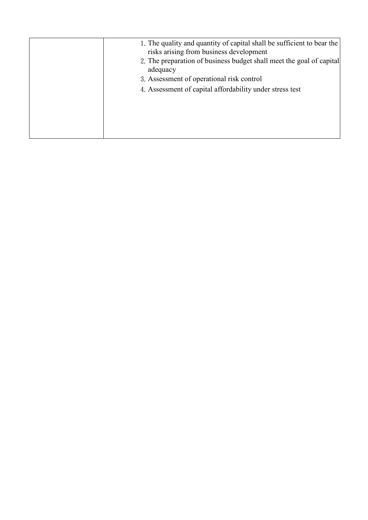| 1. The quality and quantity of capital shall be sufficient to bear the<br>risks arising from business development |
|-------------------------------------------------------------------------------------------------------------------|
| 2. The preparation of business budget shall meet the goal of capital<br>adequacy                                  |
| 3. Assessment of operational risk control                                                                         |
| 4. Assessment of capital affordability under stress test                                                          |
|                                                                                                                   |
|                                                                                                                   |
|                                                                                                                   |
|                                                                                                                   |